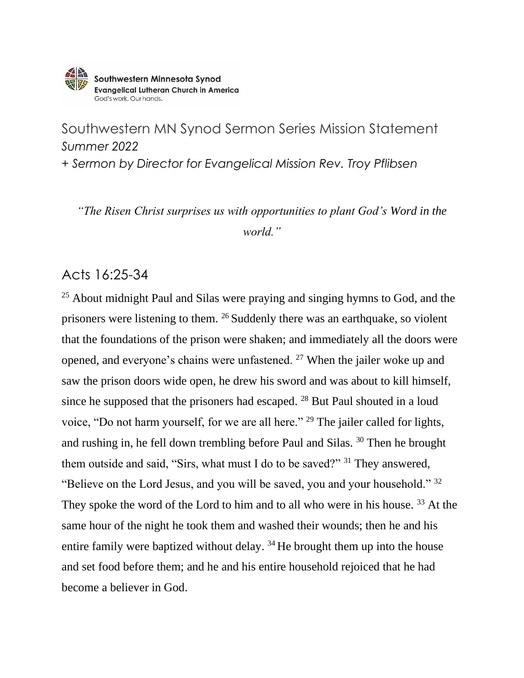

Southwestern MN Synod Sermon Series Mission Statement *Summer 2022 + Sermon by Director for Evangelical Mission Rev. Troy Pflibsen*

*"The Risen Christ surprises us with opportunities to plant God's Word in the world."*

## Acts 16:25-34

<sup>25</sup> About midnight Paul and Silas were praying and singing hymns to God, and the prisoners were listening to them. <sup>26</sup> Suddenly there was an earthquake, so violent that the foundations of the prison were shaken; and immediately all the doors were opened, and everyone's chains were unfastened. <sup>27</sup> When the jailer woke up and saw the prison doors wide open, he drew his sword and was about to kill himself, since he supposed that the prisoners had escaped. <sup>28</sup> But Paul shouted in a loud voice, "Do not harm yourself, for we are all here." <sup>29</sup> The jailer called for lights, and rushing in, he fell down trembling before Paul and Silas. <sup>30</sup> Then he brought them outside and said, "Sirs, what must I do to be saved?" <sup>31</sup> They answered, "Believe on the Lord Jesus, and you will be saved, you and your household." <sup>32</sup> They spoke the word of the Lord to him and to all who were in his house.<sup>33</sup> At the same hour of the night he took them and washed their wounds; then he and his entire family were baptized without delay. <sup>34</sup> He brought them up into the house and set food before them; and he and his entire household rejoiced that he had become a believer in God.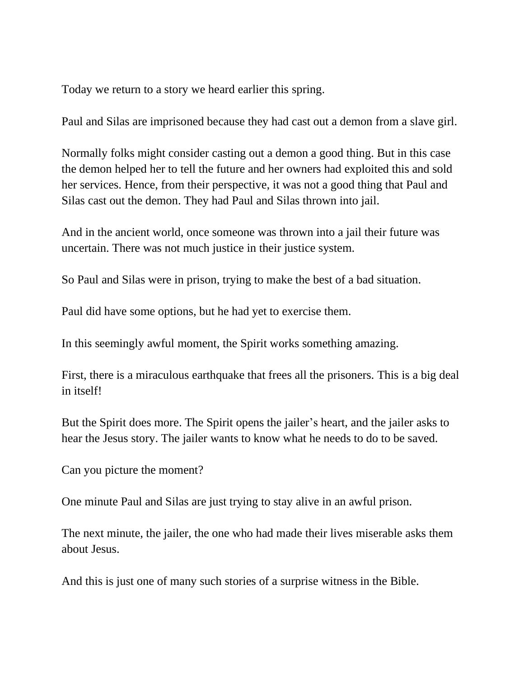Today we return to a story we heard earlier this spring.

Paul and Silas are imprisoned because they had cast out a demon from a slave girl.

Normally folks might consider casting out a demon a good thing. But in this case the demon helped her to tell the future and her owners had exploited this and sold her services. Hence, from their perspective, it was not a good thing that Paul and Silas cast out the demon. They had Paul and Silas thrown into jail.

And in the ancient world, once someone was thrown into a jail their future was uncertain. There was not much justice in their justice system.

So Paul and Silas were in prison, trying to make the best of a bad situation.

Paul did have some options, but he had yet to exercise them.

In this seemingly awful moment, the Spirit works something amazing.

First, there is a miraculous earthquake that frees all the prisoners. This is a big deal in itself!

But the Spirit does more. The Spirit opens the jailer's heart, and the jailer asks to hear the Jesus story. The jailer wants to know what he needs to do to be saved.

Can you picture the moment?

One minute Paul and Silas are just trying to stay alive in an awful prison.

The next minute, the jailer, the one who had made their lives miserable asks them about Jesus.

And this is just one of many such stories of a surprise witness in the Bible.